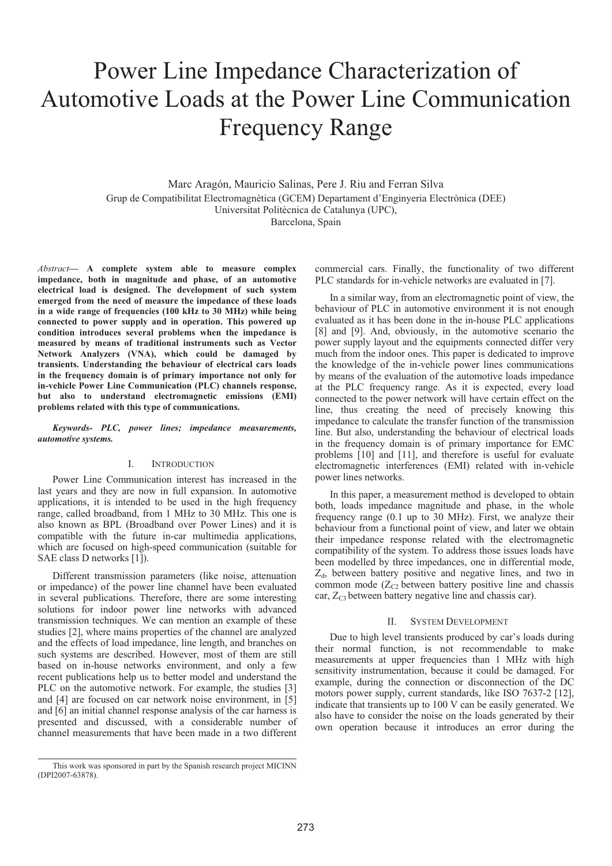# Power Line Impedance Characterization of Automotive Loads at the Power Line Communication Frequency Range

Marc Aragón, Mauricio Salinas, Pere J. Riu and Ferran Silva Grup de Compatibilitat Electromagnètica (GCEM) Departament d'Enginyeria Electrònica (DEE) Universitat Politècnica de Catalunya (UPC), Barcelona, Spain

*Abstract***— A complete system able to measure complex impedance, both in magnitude and phase, of an automotive electrical load is designed. The development of such system emerged from the need of measure the impedance of these loads in a wide range of frequencies (100 kHz to 30 MHz) while being connected to power supply and in operation. This powered up condition introduces several problems when the impedance is measured by means of traditional instruments such as Vector Network Analyzers (VNA), which could be damaged by transients. Understanding the behaviour of electrical cars loads in the frequency domain is of primary importance not only for in-vehicle Power Line Communication (PLC) channels response, but also to understand electromagnetic emissions (EMI) problems related with this type of communications.** 

*Keywords- PLC, power lines; impedance measurements, automotive systems.* 

#### I. INTRODUCTION

Power Line Communication interest has increased in the last years and they are now in full expansion. In automotive applications, it is intended to be used in the high frequency range, called broadband, from 1 MHz to 30 MHz. This one is also known as BPL (Broadband over Power Lines) and it is compatible with the future in-car multimedia applications, which are focused on high-speed communication (suitable for SAE class D networks [1]).

Different transmission parameters (like noise, attenuation or impedance) of the power line channel have been evaluated in several publications. Therefore, there are some interesting solutions for indoor power line networks with advanced transmission techniques. We can mention an example of these studies [2], where mains properties of the channel are analyzed and the effects of load impedance, line length, and branches on such systems are described. However, most of them are still based on in-house networks environment, and only a few recent publications help us to better model and understand the PLC on the automotive network. For example, the studies [3] and [4] are focused on car network noise environment, in [5] and [6] an initial channel response analysis of the car harness is presented and discussed, with a considerable number of channel measurements that have been made in a two different

commercial cars. Finally, the functionality of two different PLC standards for in-vehicle networks are evaluated in [7].

In a similar way, from an electromagnetic point of view, the behaviour of PLC in automotive environment it is not enough evaluated as it has been done in the in-house PLC applications [8] and [9]. And, obviously, in the automotive scenario the power supply layout and the equipments connected differ very much from the indoor ones. This paper is dedicated to improve the knowledge of the in-vehicle power lines communications by means of the evaluation of the automotive loads impedance at the PLC frequency range. As it is expected, every load connected to the power network will have certain effect on the line, thus creating the need of precisely knowing this impedance to calculate the transfer function of the transmission line. But also, understanding the behaviour of electrical loads in the frequency domain is of primary importance for EMC problems [10] and [11], and therefore is useful for evaluate electromagnetic interferences (EMI) related with in-vehicle power lines networks.

In this paper, a measurement method is developed to obtain both, loads impedance magnitude and phase, in the whole frequency range (0.1 up to 30 MHz). First, we analyze their behaviour from a functional point of view, and later we obtain their impedance response related with the electromagnetic compatibility of the system. To address those issues loads have been modelled by three impedances, one in differential mode,  $Z_d$ , between battery positive and negative lines, and two in common mode  $(Z_{C2}$  between battery positive line and chassis car,  $Z_{C3}$  between battery negative line and chassis car).

### II. SYSTEM DEVELOPMENT

Due to high level transients produced by car's loads during their normal function, is not recommendable to make measurements at upper frequencies than 1 MHz with high sensitivity instrumentation, because it could be damaged. For example, during the connection or disconnection of the DC motors power supply, current standards, like ISO 7637-2 [12], indicate that transients up to 100 V can be easily generated. We also have to consider the noise on the loads generated by their own operation because it introduces an error during the

This work was sponsored in part by the Spanish research project MICINN (DPI2007-63878).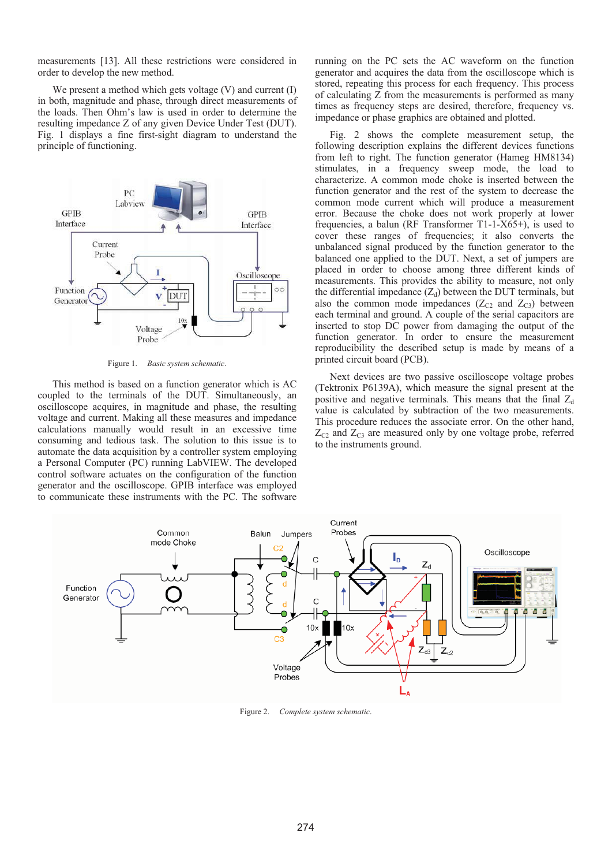measurements [13]. All these restrictions were considered in order to develop the new method.

We present a method which gets voltage (V) and current (I) in both, magnitude and phase, through direct measurements of the loads. Then Ohm's law is used in order to determine the resulting impedance Z of any given Device Under Test (DUT). Fig. 1 displays a fine first-sight diagram to understand the principle of functioning.



Figure 1. *Basic system schematic*.

This method is based on a function generator which is AC coupled to the terminals of the DUT. Simultaneously, an oscilloscope acquires, in magnitude and phase, the resulting voltage and current. Making all these measures and impedance calculations manually would result in an excessive time consuming and tedious task. The solution to this issue is to automate the data acquisition by a controller system employing a Personal Computer (PC) running LabVIEW. The developed control software actuates on the configuration of the function generator and the oscilloscope. GPIB interface was employed to communicate these instruments with the PC. The software

running on the PC sets the AC waveform on the function generator and acquires the data from the oscilloscope which is stored, repeating this process for each frequency. This process of calculating Z from the measurements is performed as many times as frequency steps are desired, therefore, frequency vs. impedance or phase graphics are obtained and plotted.

Fig. 2 shows the complete measurement setup, the following description explains the different devices functions from left to right. The function generator (Hameg HM8134) stimulates, in a frequency sweep mode, the load to characterize. A common mode choke is inserted between the function generator and the rest of the system to decrease the common mode current which will produce a measurement error. Because the choke does not work properly at lower frequencies, a balun (RF Transformer T1-1-X65+), is used to cover these ranges of frequencies; it also converts the unbalanced signal produced by the function generator to the balanced one applied to the DUT. Next, a set of jumpers are placed in order to choose among three different kinds of measurements. This provides the ability to measure, not only the differential impedance  $(Z_d)$  between the DUT terminals, but also the common mode impedances  $(Z_{C2}$  and  $Z_{C3}$ ) between each terminal and ground. A couple of the serial capacitors are inserted to stop DC power from damaging the output of the function generator. In order to ensure the measurement reproducibility the described setup is made by means of a printed circuit board (PCB).

Next devices are two passive oscilloscope voltage probes (Tektronix P6139A), which measure the signal present at the positive and negative terminals. This means that the final  $Z_d$ value is calculated by subtraction of the two measurements. This procedure reduces the associate error. On the other hand,  $Z_{C2}$  and  $Z_{C3}$  are measured only by one voltage probe, referred to the instruments ground.



Figure 2. *Complete system schematic*.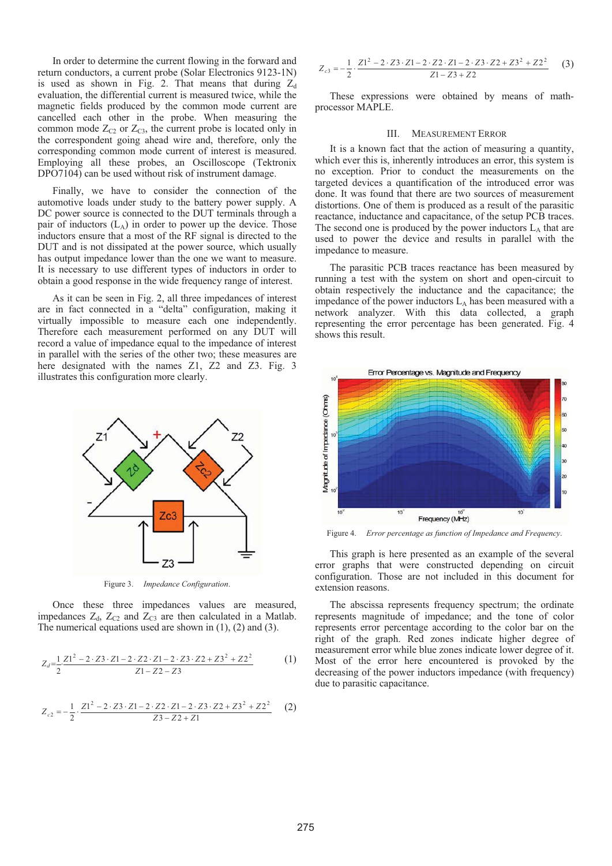In order to determine the current flowing in the forward and return conductors, a current probe (Solar Electronics 9123-1N) is used as shown in Fig. 2. That means that during  $Z_d$ evaluation, the differential current is measured twice, while the magnetic fields produced by the common mode current are cancelled each other in the probe. When measuring the common mode  $Z_{C2}$  or  $Z_{C3}$ , the current probe is located only in the correspondent going ahead wire and, therefore, only the corresponding common mode current of interest is measured. Employing all these probes, an Oscilloscope (Tektronix DPO7104) can be used without risk of instrument damage.

Finally, we have to consider the connection of the automotive loads under study to the battery power supply. A DC power source is connected to the DUT terminals through a pair of inductors  $(L_A)$  in order to power up the device. Those inductors ensure that a most of the RF signal is directed to the DUT and is not dissipated at the power source, which usually has output impedance lower than the one we want to measure. It is necessary to use different types of inductors in order to obtain a good response in the wide frequency range of interest.

As it can be seen in Fig. 2, all three impedances of interest are in fact connected in a "delta" configuration, making it virtually impossible to measure each one independently. Therefore each measurement performed on any DUT will record a value of impedance equal to the impedance of interest in parallel with the series of the other two; these measures are here designated with the names Z1, Z2 and Z3. Fig. 3 illustrates this configuration more clearly.



Figure 3. *Impedance Configuration*.

Once these three impedances values are measured, impedances  $Z_d$ ,  $Z_{C2}$  and  $Z_{C3}$  are then calculated in a Matlab. The numerical equations used are shown in (1), (2) and (3).

$$
Z_d = \frac{1}{2} \frac{ZI^2 - 2 \cdot Z3 \cdot Z1 - 2 \cdot Z2 \cdot Z1 - 2 \cdot Z3 \cdot Z2 + Z3^2 + Z2^2}{Z1 - Z2 - Z3}
$$
 (1)

$$
Z_{c2} = -\frac{1}{2} \cdot \frac{Z1^2 - 2 \cdot Z3 \cdot Z1 - 2 \cdot Z2 \cdot Z1 - 2 \cdot Z3 \cdot Z2 + Z3^2 + Z2^2}{Z3 - Z2 + Z1}
$$
 (2)

$$
Z_{c3} = -\frac{1}{2} \cdot \frac{ZI^2 - 2 \cdot Z3 \cdot Z1 - 2 \cdot Z2 \cdot Z1 - 2 \cdot Z3 \cdot Z2 + Z3^2 + Z2^2}{Z1 - Z3 + Z2} \tag{3}
$$

These expressions were obtained by means of mathprocessor MAPLE.

## III. MEASUREMENT ERROR

It is a known fact that the action of measuring a quantity, which ever this is, inherently introduces an error, this system is no exception. Prior to conduct the measurements on the targeted devices a quantification of the introduced error was done. It was found that there are two sources of measurement distortions. One of them is produced as a result of the parasitic reactance, inductance and capacitance, of the setup PCB traces. The second one is produced by the power inductors  $L_A$  that are used to power the device and results in parallel with the impedance to measure.

The parasitic PCB traces reactance has been measured by running a test with the system on short and open-circuit to obtain respectively the inductance and the capacitance; the impedance of the power inductors  $L_A$  has been measured with a network analyzer. With this data collected, a graph representing the error percentage has been generated. Fig. 4 shows this result.



Figure 4. *Error percentage as function of Impedance and Frequency*.

This graph is here presented as an example of the several error graphs that were constructed depending on circuit configuration. Those are not included in this document for extension reasons.

The abscissa represents frequency spectrum; the ordinate represents magnitude of impedance; and the tone of color represents error percentage according to the color bar on the right of the graph. Red zones indicate higher degree of measurement error while blue zones indicate lower degree of it. Most of the error here encountered is provoked by the decreasing of the power inductors impedance (with frequency) due to parasitic capacitance.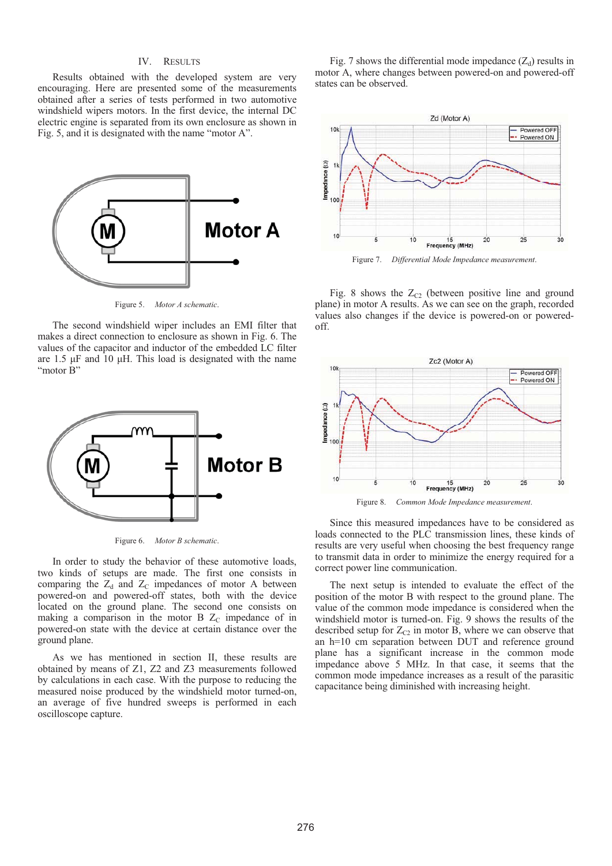## IV. RESULTS

Results obtained with the developed system are very encouraging. Here are presented some of the measurements obtained after a series of tests performed in two automotive windshield wipers motors. In the first device, the internal DC electric engine is separated from its own enclosure as shown in Fig. 5, and it is designated with the name "motor A".



Figure 5. *Motor A schematic*.

The second windshield wiper includes an EMI filter that makes a direct connection to enclosure as shown in Fig. 6. The values of the capacitor and inductor of the embedded LC filter are  $1.5 \mu$ F and 10  $\mu$ H. This load is designated with the name "motor B"



Figure 6. *Motor B schematic*.

In order to study the behavior of these automotive loads, two kinds of setups are made. The first one consists in comparing the  $Z_d$  and  $Z_c$  impedances of motor A between powered-on and powered-off states, both with the device located on the ground plane. The second one consists on making a comparison in the motor B  $Z_c$  impedance of in powered-on state with the device at certain distance over the ground plane.

As we has mentioned in section II, these results are obtained by means of Z1, Z2 and Z3 measurements followed by calculations in each case. With the purpose to reducing the measured noise produced by the windshield motor turned-on, an average of five hundred sweeps is performed in each oscilloscope capture.

Fig. 7 shows the differential mode impedance  $(Z_d)$  results in motor A, where changes between powered-on and powered-off states can be observed.



Fig. 8 shows the  $Z_{C2}$  (between positive line and ground plane) in motor A results. As we can see on the graph, recorded values also changes if the device is powered-on or poweredoff.



Figure 8. *Common Mode Impedance measurement*.

Since this measured impedances have to be considered as loads connected to the PLC transmission lines, these kinds of results are very useful when choosing the best frequency range to transmit data in order to minimize the energy required for a correct power line communication.

The next setup is intended to evaluate the effect of the position of the motor B with respect to the ground plane. The value of the common mode impedance is considered when the windshield motor is turned-on. Fig. 9 shows the results of the described setup for  $Z_{C2}$  in motor B, where we can observe that an h=10 cm separation between DUT and reference ground plane has a significant increase in the common mode impedance above 5 MHz. In that case, it seems that the common mode impedance increases as a result of the parasitic capacitance being diminished with increasing height.